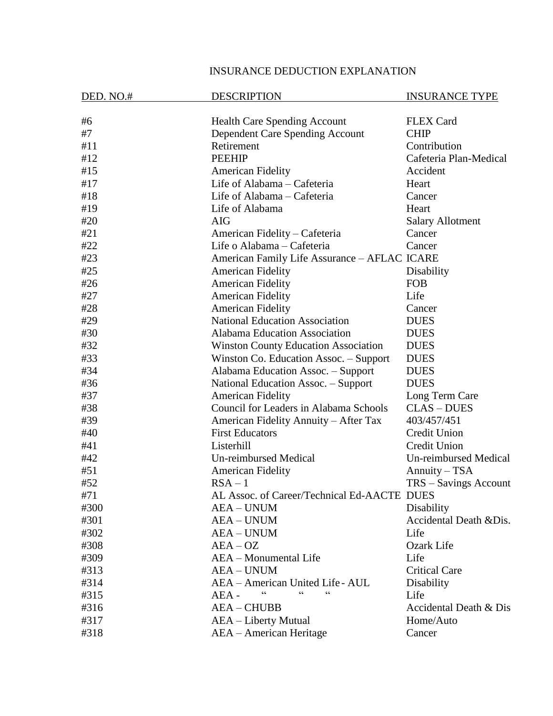## INSURANCE DEDUCTION EXPLANATION

| DED. NO.# | <b>DESCRIPTION</b>                            | <b>INSURANCE TYPE</b>        |
|-----------|-----------------------------------------------|------------------------------|
| #6        | Health Care Spending Account                  | <b>FLEX Card</b>             |
| #7        | Dependent Care Spending Account               | <b>CHIP</b>                  |
| #11       | Retirement                                    | Contribution                 |
| #12       | <b>PEEHIP</b>                                 | Cafeteria Plan-Medical       |
| #15       | <b>American Fidelity</b>                      | Accident                     |
| #17       | Life of Alabama - Cafeteria                   | Heart                        |
| #18       | Life of Alabama - Cafeteria                   | Cancer                       |
| #19       | Life of Alabama                               | Heart                        |
| #20       | <b>AIG</b>                                    | <b>Salary Allotment</b>      |
| #21       | American Fidelity – Cafeteria                 | Cancer                       |
| #22       | Life o Alabama - Cafeteria                    | Cancer                       |
| #23       | American Family Life Assurance - AFLAC ICARE  |                              |
| #25       | <b>American Fidelity</b>                      | Disability                   |
| #26       | <b>American Fidelity</b>                      | <b>FOB</b>                   |
| #27       | <b>American Fidelity</b>                      | Life                         |
| #28       | <b>American Fidelity</b>                      | Cancer                       |
| #29       | <b>National Education Association</b>         | <b>DUES</b>                  |
| #30       | <b>Alabama Education Association</b>          | <b>DUES</b>                  |
| #32       | <b>Winston County Education Association</b>   | <b>DUES</b>                  |
| #33       | Winston Co. Education Assoc. – Support        | <b>DUES</b>                  |
| #34       | Alabama Education Assoc. - Support            | <b>DUES</b>                  |
| #36       | National Education Assoc. - Support           | <b>DUES</b>                  |
| #37       | <b>American Fidelity</b>                      | Long Term Care               |
| #38       | <b>Council for Leaders in Alabama Schools</b> | <b>CLAS-DUES</b>             |
| #39       | American Fidelity Annuity – After Tax         | 403/457/451                  |
| #40       | <b>First Educators</b>                        | Credit Union                 |
| #41       | Listerhill                                    | <b>Credit Union</b>          |
| #42       | <b>Un-reimbursed Medical</b>                  | <b>Un-reimbursed Medical</b> |
| #51       | <b>American Fidelity</b>                      | Annuity – TSA                |
| #52       | $RSA - 1$                                     | TRS - Savings Account        |
| #71       | AL Assoc. of Career/Technical Ed-AACTE DUES   |                              |
| #300      | <b>AEA – UNUM</b>                             | Disability                   |
| #301      | <b>AEA - UNUM</b>                             | Accidental Death & Dis.      |
| #302      | <b>AEA - UNUM</b>                             | Life                         |
| #308      | $AEA-OZ$                                      | Ozark Life                   |
| #309      | AEA - Monumental Life                         | Life                         |
| #313      | <b>AEA - UNUM</b>                             | <b>Critical Care</b>         |
| #314      | AEA - American United Life - AUL              | Disability                   |
| #315      | AEA -                                         | Life                         |
| #316      | <b>AEA-CHUBB</b>                              | Accidental Death & Dis       |
| #317      | AEA – Liberty Mutual                          | Home/Auto                    |
| #318      | AEA - American Heritage                       | Cancer                       |